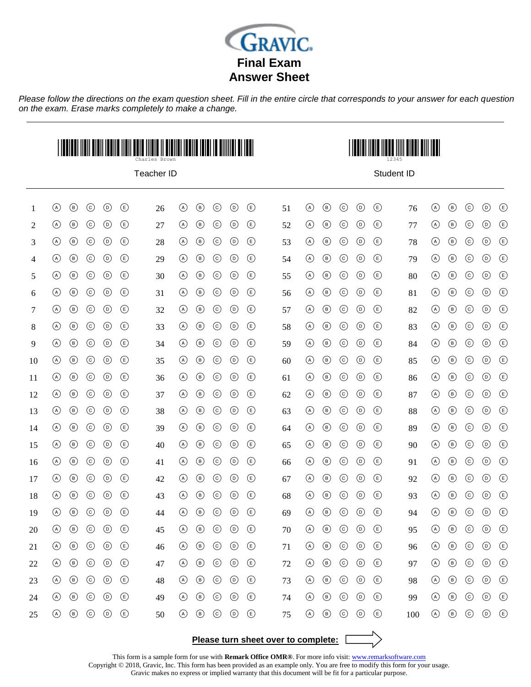

*Please follow the directions on the exam question sheet. Fill in the entire circle that corresponds to your answer for each question on the exam. Erase marks completely to make a change.*



Teacher ID



Student ID

| 1  | $\odot$ | $^{\circledR}$ | $\odot$    | $\odot$         | $\circlede$ | 26 | $\circledcirc$ | $^{\circledR}$ | $\odot$ | $^{\circ}$      | $\bigcirc$                         | 51 | $\odot$        | $\circledcirc$ | $\odot$ | $^{\circ}$      | $\circlede$                        | 76  | $\circledcirc$ | $\circledcirc$ | $\odot$ | $\odot$        | $\circlede$                    |
|----|---------|----------------|------------|-----------------|-------------|----|----------------|----------------|---------|-----------------|------------------------------------|----|----------------|----------------|---------|-----------------|------------------------------------|-----|----------------|----------------|---------|----------------|--------------------------------|
| 2  | $\odot$ | $\circledcirc$ | $\odot$    | $\odot$         | $\bigcirc$  | 27 | $\odot$        | $^{\circ}$     | $\odot$ | $\odot$         | $\bigcirc$                         | 52 | $\circledcirc$ | $^{\circ}$     | $\odot$ | $\odot$         | $\bigcirc$                         | 77  | $^{\circledR}$ | $\circledcirc$ | $\odot$ | $\odot$        | $\bigoplus$                    |
| 3  | $\odot$ | $\circledcirc$ | $\odot$    | $\odot$         | $\circlede$ | 28 | $\odot$        | $^{\circledR}$ | $\odot$ | $^{\copyright}$ | ⊕                                  | 53 | $\odot$        | $^{\circledR}$ | $\odot$ | $^{\circ}$      | $\circlede$                        | 78  | $\circledcirc$ | $^{\circledR}$ | $\odot$ | $^{\circ}$     | $\bigcirc$                     |
| 4  | $\odot$ | $\circledcirc$ | $\odot$    | $^{\circ}$      | $\bigcirc$  | 29 | $\odot$        | $^{\circledR}$ | $\odot$ | $\odot$         | ⊕                                  | 54 | $\circledcirc$ | $\circledcirc$ | $\odot$ | $\circledcirc$  | $\circled{\scriptstyle\circ}$      | 79  | $\circledcirc$ | $\circledcirc$ | $\odot$ | $\odot$        | $\bigcirc$                     |
| 5  | $\odot$ | $\circledcirc$ | $\odot$    | $\odot$         | $\bigcirc$  | 30 | $\odot$        | $\circledcirc$ | $\odot$ | $^{\circ}$      | $\circled{\scriptstyle\mathsf{E}}$ | 55 | $\odot$        | $\circledcirc$ | $\odot$ | $\circledcirc$  | $\bigcirc$                         | 80  | $\circledcirc$ | $\circledcirc$ | $\odot$ | $\odot$        | $\bigcirc$                     |
| 6  | $\odot$ | $\circledcirc$ | $\odot$    | $^{\circ}$      | $\circlede$ | 31 | $\odot$        | $^{\circledR}$ | $\odot$ | $^{\copyright}$ | $\circlede$                        | 56 | $\odot$        | $^{\circledR}$ | $\odot$ | $^{\circ}$      | $\circlede$                        | 81  | $\circledcirc$ | $^{\circ}$     | $\odot$ | $^{\circ}$     | $\bigcirc$                     |
| 7  | $\odot$ | $\circledcirc$ | $\odot$    | $^{\circ}$      | $\circlede$ | 32 | $\circledcirc$ | $^{\circledR}$ | $\odot$ | $^{\circ}$      | ⊕                                  | 57 | $\circledcirc$ | $^{\circledR}$ | $\odot$ | $^{\circ}$      | $\circlede$                        | 82  | $\circledcirc$ | $^{\circ}$     | $\odot$ | $\odot$        | $\bigcirc$                     |
| 8  | $\odot$ | $\circledcirc$ | $\odot$    | $\odot$         | $\bigcirc$  | 33 | $\odot$        | $\circledcirc$ | $\odot$ | $\odot$         | $\bigcirc$                         | 58 | $\odot$        | $\circledcirc$ | $\odot$ | $\odot$         | $\circlede$                        | 83  | $\odot$        | $\circledcirc$ | $\odot$ | $\odot$        | $\bigcirc$                     |
| 9  | $\odot$ | $\circledcirc$ | $\odot$    | $^{\circ}$      | $\circlede$ | 34 | $\odot$        | $^{\circledR}$ | $\odot$ | $\odot$         | ⊕                                  | 59 | $\odot$        | $^{\circledR}$ | $\odot$ | $^{\circ}$      | $\circlede$                        | 84  | $\odot$        | $\circledcirc$ | $\odot$ | $\odot$        | $\textcircled{\scriptsize{E}}$ |
| 10 | $\odot$ | $\circledcirc$ | $\odot$    | $\odot$         | $\circlede$ | 35 | $\odot$        | $^{\circledR}$ | $\odot$ | $^{\copyright}$ | $\circlede$                        | 60 | $\circledcirc$ | $^{\circledR}$ | $\odot$ | $^{\circ}$      | $\circlede$                        | 85  | $\odot$        | $^{\circ}$     | $\odot$ | $^{\circ}$     | $\bigcirc$                     |
| 11 | $\odot$ | $\circledcirc$ | $\odot$    | $\odot$         | $\bigcirc$  | 36 | $\odot$        | $^{\circledR}$ | $\odot$ | $\odot$         | $\circled{\scriptstyle\circ}$      | 61 | $\odot$        | $^{\circledR}$ | $\odot$ | $\circledcirc$  | $\circled{\scriptstyle\circ}$      | 86  | $\circledcirc$ | $\circledcirc$ | $\odot$ | $\odot$        | $\bigcirc$                     |
| 12 | $\odot$ | $\circledcirc$ | $\odot$    | $\odot$         | $\circlede$ | 37 | $\odot$        | $\circledcirc$ | $\odot$ | $\odot$         | $\circled{\scriptstyle\circ}$      | 62 | $\circledcirc$ | $\circledcirc$ | $\odot$ | $\circledcirc$  | $\circled{\scriptstyle\mathsf{E}}$ | 87  | $\circledcirc$ | $^{\circledR}$ | $\odot$ | $\circledcirc$ | $\circled$                     |
| 13 | $\odot$ | $\circledcirc$ | $\odot$    | $^{\circ}$      | $\circlede$ | 38 | $\odot$        | $^{\circledR}$ | $\odot$ | $^{\copyright}$ | $\circlede$                        | 63 | $\odot$        | $^{\circledR}$ | $\odot$ | $^{\circ}$      | $\circlede$                        | 88  | $\circledcirc$ | $\circledcirc$ | $\odot$ | $^{\circ}$     | $\bigcirc$                     |
| 14 | $\odot$ | $\circledcirc$ | $\odot$    | $^{\circ}$      | $\bigcirc$  | 39 | $\odot$        | $^{\circledR}$ | $\odot$ | $^{\circ}$      | ⊕                                  | 64 | $\circledcirc$ | $^{\circledR}$ | $\odot$ | $^{\circ}$      | $\circlede$                        | 89  | $\circledcirc$ | $^{\circ}$     | $\odot$ | $\odot$        | $\bigcirc$                     |
| 15 | $\odot$ | $\circledcirc$ | $\odot$    | $\odot$         | $\circlede$ | 40 | $\odot$        | $^{\circledR}$ | $\odot$ | $^{\circ}$      | $\circlede$                        | 65 | $\circledcirc$ | $\circledcirc$ | $\odot$ | $^{\circ}$      | $\circled{\scriptstyle\mathsf{E}}$ | 90  | $\circledcirc$ | $\circledcirc$ | $\odot$ | $\odot$        | $\bigcirc$                     |
| 16 | $\odot$ | $^{\circ}$     | $\odot$    | $^{\circ}$      | $\circlede$ | 41 | $\odot$        | $^{\circledR}$ | $\odot$ | $^{\circ}$      | ⊕                                  | 66 | $\odot$        | $^{\circledR}$ | $\odot$ | $^{\circ}$      | $\circlede$                        | 91  | $\circledcirc$ | $\circledcirc$ | $\odot$ | $^{\circ}$     | $\bigcirc$                     |
| 17 | $\odot$ | $\circledcirc$ | $\odot$    | $\odot$         | $\bigcirc$  | 42 | $\circledcirc$ | $^{\circ}$     | $\odot$ | $^{\circ}$      | $\circlede$                        | 67 | $\odot$        | $\circledcirc$ | $\odot$ | $\odot$         | $\circlede$                        | 92  | $\circledcirc$ | $\circledcirc$ | $\odot$ | $\odot$        | $\bigoplus$                    |
| 18 | $\odot$ | $\circledcirc$ | $\odot$    | $\circledcirc$  | $\bigcirc$  | 43 | $\odot$        | $\circledcirc$ | $\odot$ | $\odot$         | $\bigcirc$                         | 68 | $\circledcirc$ | $\circledcirc$ | $\odot$ | $\odot$         | $\circlede$                        | 93  | $\circledcirc$ | $\circledcirc$ | $\odot$ | $\odot$        | $\bigcirc$                     |
| 19 | $\odot$ | $\circledcirc$ | $\odot$    | $\odot$         | $\circlede$ | 44 | $\odot$        | $\circledcirc$ | $\odot$ | $^{\circ}$      | $\circlede$                        | 69 | $\circledcirc$ | $\circledcirc$ | $\odot$ | $\circledcirc$  | $\circlede$                        | 94  | $\circledcirc$ | $^{\circledR}$ | $\odot$ | $^{\circ}$     | $\bigcirc$                     |
| 20 | $\odot$ | $\circledcirc$ | $\odot$    | $^{\circ}$      | $\bigcirc$  | 45 | $\circledcirc$ | $^{\circledR}$ | $\odot$ | $^{\circ}$      | $\bigcirc$                         | 70 | $\odot$        | $^{\circledR}$ | $\odot$ | $^{\circ}$      | $\circlede$                        | 95  | $\circledcirc$ | $\circledcirc$ | $\odot$ | $^{\circ}$     | $\bigcirc$                     |
| 21 | $\odot$ | $\circledcirc$ | $_{\odot}$ | $^{\copyright}$ | $\bigcirc$  | 46 | $\odot$        | $^{\circledR}$ | $\odot$ | $^{\circledR}$  | $\circlede$                        | 71 | $\odot$        | $^{\circledR}$ | $\odot$ | $\circledcirc$  | $^{\circledR}$                     | 96  | $\circledcirc$ | $\circledcirc$ | $\odot$ | $\odot$        | $\bigoplus$                    |
| 22 | $\odot$ | $\circledcirc$ | $\odot$    | $\odot$         | $\circlede$ | 47 | $\odot$        | $^{\circledR}$ | $\odot$ | $^{\copyright}$ | $\circlede$                        | 72 | $\odot$        | $\circledcirc$ | $\odot$ | $^{\circ}$      | $\circlede$                        | 97  | $\circledcirc$ | $\circledcirc$ | $\odot$ | $\odot$        | $\bigcirc$                     |
| 23 | $\odot$ | $\circledcirc$ | $\odot$    | $\odot$         | $\circlede$ | 48 | $\circledcirc$ | $^{\circledR}$ | $\odot$ | $^{\circ}$      | ⊕                                  | 73 | $\circledcirc$ | $^{\circledR}$ | $\odot$ | $^{\copyright}$ | $\circled$                         | 98  | $\circledcirc$ | $\circledcirc$ | $\odot$ | $\odot$        | $\bigoplus$                    |
| 24 | $\odot$ | $\circledcirc$ | $\odot$    | $\odot$         | $\bigcirc$  | 49 | $\odot$        | $^{\circ}$     | $\odot$ | $\odot$         | $\bigcirc$                         | 74 | $\circledcirc$ | $\circledcirc$ | $\odot$ | $^{\circledR}$  | $\bigcirc$                         | 99  | $\circledcirc$ | $\circledcirc$ | $\odot$ | $\odot$        | $\bigoplus$                    |
| 25 | $\odot$ | $\circledcirc$ | $\odot$    | $^{\circ}$      | $\circlede$ | 50 | $\odot$        | $^{\circledR}$ | $\odot$ | $\odot$         | ⊕                                  | 75 | $\odot$        | $^{\circledR}$ | $\odot$ | $\odot$         | $\circled$                         | 100 | $\circledcirc$ | $^{\circ}$     | $\odot$ | $\odot$        | $\bigcirc$                     |
|    |         |                |            |                 |             |    |                |                |         |                 |                                    |    |                |                |         |                 |                                    |     |                |                |         |                |                                |

**Please turn sheet over to complete:**

This form is a sample form for use with **Remark Office OMR®**. For more info visit: [www.remarksoftware.com](http://www.gravic.com/remark)

Copyright © 2018, Gravic, Inc. This form has been provided as an example only. You are free to modify this form for your usage.

Gravic makes no express or implied warranty that this document will be fit for a particular purpose.